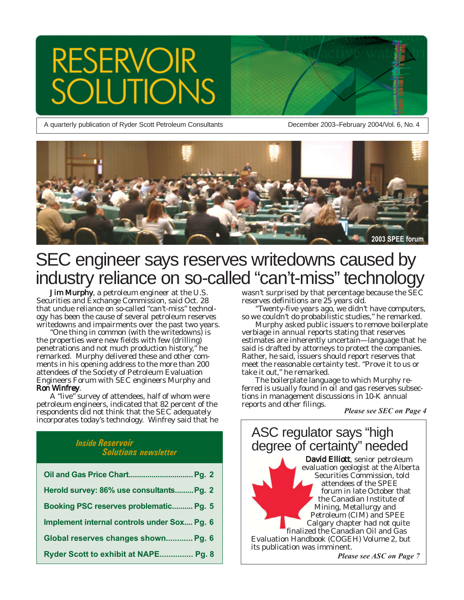# **RESERVOIR** TIONS

A quarterly publication of Ryder Scott Petroleum Consultants

December 2003–February 2004/Vol. 6, No. 4



### SEC engineer says reserves writedowns caused by industry reliance on so-called "can't-miss" technology

Jim Murphy, a petroleum engineer at the U.S. Securities and Exchange Commission, said Oct. 28 that undue reliance on so-called "can't-miss" technology has been the cause of several petroleum reserves writedowns and impairments over the past two years.

"One thing in common (with the writedowns) is the properties were new fields with few (drilling) penetrations and not much production history," he remarked. Murphy delivered these and other comments in his opening address to the more than 200 attendees of the Society of Petroleum Evaluation Engineers Forum with SEC engineers Murphy and Ron Winfrey.

A "live" survey of attendees, half of whom were petroleum engineers, indicated that 82 percent of the respondents did not think that the SEC adequately incorporates today's technology. Winfrey said that he

#### *Inside Reservoir Solutions newsletter*

| Herold survey: 86% use consultantsPg. 2     |
|---------------------------------------------|
| Booking PSC reserves problematic Pg. 5      |
| Implement internal controls under Sox Pg. 6 |
| Global reserves changes shown Pg. 6         |
| Ryder Scott to exhibit at NAPE Pg. 8        |

wasn't surprised by that percentage because the SEC reserves definitions are 25 years old.

"Twenty-five years ago, we didn't have computers, so we couldn't do probabilistic studies," he remarked.

Murphy asked public issuers to remove boilerplate verbiage in annual reports stating that reserves estimates are inherently uncertain—language that he said is drafted by attorneys to protect the companies. Rather, he said, issuers should report reserves that meet the reasonable certainty test. "Prove it to us or take it out," he remarked.

The boilerplate language to which Murphy referred is usually found in oil and gas reserves subsections in management discussions in 10-K annual reports and other filings. *Please see SEC on Page 4*

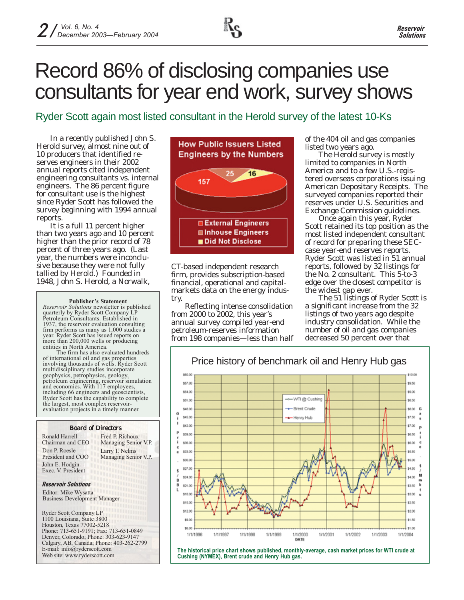

# Record 86% of disclosing companies use consultants for year end work, survey shows

Ryder Scott again most listed consultant in the Herold survey of the latest 10-Ks

In a recently published John S. Herold survey, almost nine out of 10 producers that identified reserves engineers in their 2002 annual reports cited independent engineering consultants vs. internal engineers. The 86 percent figure for consultant use is the highest since Ryder Scott has followed the survey beginning with 1994 annual reports.

It is a full 11 percent higher than two years ago and 10 percent higher than the prior record of 78 percent of three years ago. (Last year, the numbers were inconclusive because they were not fully tallied by Herold.) Founded in 1948, John S. Herold, a Norwalk,

#### **Publisher's Statement**

*Reservoir Solutions* newsletter is published quarterly by Ryder Scott Company LP Petroleum Consultants. Established in 1937, the reservoir evaluation consulting firm performs as many as 1,000 studies a year. Ryder Scott has issued reports on more than 200,000 wells or producing entities in North America.

The firm has also evaluated hundreds of international oil and gas properties involving thousands of wells. Ryder Scott multidisciplinary studies incorporate geophysics, petrophysics, geology, petroleum engineering, reservoir simulation and economics. With 117 employees, including 66 engineers and geoscientists, Ryder Scott has the capability to complete the largest, most complex reservoirevaluation projects in a timely manner.

#### Board of Directors

Ronald Harrell Chairman and CEO Don P. Roesle President and COO John E. Hodgin Exec. V. President

Larry T. Nelms Managing Senior V.P. Fred P. Richoux Managing Senior V.P.

#### *Reservoir Solutions*

Editor: Mike Wysatta Business Development Manager

Ryder Scott Company LP 1100 Louisiana, Suite 3800 Houston, Texas 77002-5218 Phone: 713-651-9191; Fax: 713-651-0849 Denver, Colorado; Phone: 303-623-9147 Calgary, AB, Canada; Phone: 403-262-2799 E-mail: info@ryderscott.com Web site: www.ryderscott.com



CT-based independent research firm, provides subscription-based financial, operational and capitalmarkets data on the energy industry.

Reflecting intense consolidation from 2000 to 2002, this year's annual survey compiled year-end petroleum-reserves information from 198 companies—less than half of the 404 oil and gas companies listed two years ago.

The Herold survey is mostly limited to companies in North America and to a few U.S.-registered overseas corporations issuing American Depositary Receipts. The surveyed companies reported their reserves under U.S. Securities and Exchange Commission guidelines.

Once again this year, Ryder Scott retained its top position as the most listed independent consultant of record for preparing these SECcase year-end reserves reports. Ryder Scott was listed in 51 annual reports, followed by 32 listings for the No. 2 consultant. This 5-to-3 edge over the closest competitor is the widest gap ever.

The 51 listings of Ryder Scott is a significant increase from the 32 listings of two years ago despite industry consolidation. While the number of oil and gas companies decreased 50 percent over that





**The historical price chart shows published, monthly-average, cash market prices for WTI crude at Cushing (NYMEX), Brent crude and Henry Hub gas.**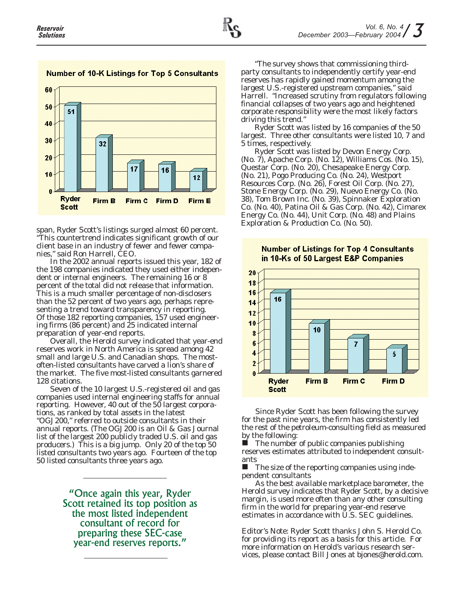

#### **Number of 10-K Listings for Top 5 Consultants**

span, Ryder Scott's listings surged almost 60 percent. "This countertrend indicates significant growth of our client base in an industry of fewer and fewer companies," said Ron Harrell, CEO.

In the 2002 annual reports issued this year, 182 of the 198 companies indicated they used either independent or internal engineers. The remaining 16 or 8 percent of the total did not release that information. This is a much smaller percentage of non-disclosers than the 52 percent of two years ago, perhaps representing a trend toward transparency in reporting. Of those 182 reporting companies, 157 used engineering firms (86 percent) and 25 indicated internal preparation of year-end reports.

Overall, the Herold survey indicated that year-end reserves work in North America is spread among 42 small and large U.S. and Canadian shops. The mostoften-listed consultants have carved a lion's share of the market. The five most-listed consultants garnered 128 citations.

Seven of the 10 largest U.S.-registered oil and gas companies used internal engineering staffs for annual reporting. However, 40 out of the 50 largest corporations, as ranked by total assets in the latest "OGJ200," referred to outside consultants in their annual reports. (The OGJ200 is an *Oil & Gas Journal* list of the largest 200 publicly traded U.S. oil and gas producers.) This is a big jump. Only 20 of the top 50 listed consultants two years ago. Fourteen of the top 50 listed consultants three years ago.

> "Once again this year, Ryder Scott retained its top position as the most listed independent consultant of record for preparing these SEC-case year-end reserves reports."

"The survey shows that commissioning thirdparty consultants to independently certify year-end reserves has rapidly gained momentum among the largest U.S.-registered upstream companies," said Harrell. "Increased scrutiny from regulators following financial collapses of two years ago and heightened corporate responsibility were the most likely factors driving this trend."

Ryder Scott was listed by 16 companies of the 50 largest. Three other consultants were listed 10, 7 and 5 times, respectively.

Ryder Scott was listed by Devon Energy Corp. (No. 7), Apache Corp. (No. 12), Williams Cos. (No. 15), Questar Corp. (No. 20), Chesapeake Energy Corp. (No. 21), Pogo Producing Co. (No. 24), Westport Resources Corp. (No. 26), Forest Oil Corp. (No. 27), Stone Energy Corp. (No. 29), Nuevo Energy Co. (No. 38), Tom Brown Inc. (No. 39), Spinnaker Exploration Co. (No. 40), Patina Oil & Gas Corp. (No. 42), Cimarex Energy Co. (No. 44), Unit Corp. (No. 48) and Plains Exploration & Production Co. (No. 50).



#### **Number of Listings for Top 4 Consultants** in 10-Ks of 50 Largest E&P Companies

Since Ryder Scott has been following the survey for the past nine years, the firm has consistently led the rest of the petroleum-consulting field as measured by the following:

 $\blacksquare$  The number of public companies publishing reserves estimates attributed to independent consultants

 The size of the reporting companies using independent consultants

As the best available marketplace barometer, the Herold survey indicates that Ryder Scott, by a decisive margin, is used more often than any other consulting firm in the world for preparing year-end reserve estimates in accordance with U.S. SEC guidelines.

*Editor's Note: Ryder Scott thanks John S. Herold Co. for providing its report as a basis for this article. For more information on Herold's various research services, please contact Bill Jones at bjones@herold.com.*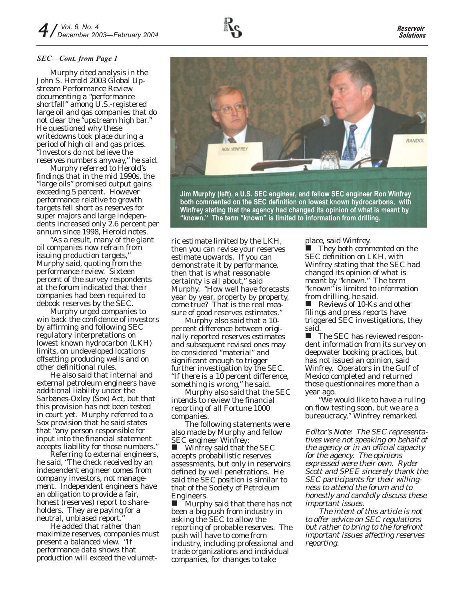#### *SEC—Cont. from Page 1*

Murphy cited analysis in the John S. Herold 2003 Global Upstream Performance Review documenting a "performance shortfall" among U.S.-registered large oil and gas companies that do not clear the "upstream high bar." He questioned why these writedowns took place during a period of high oil and gas prices. "Investors do not believe the reserves numbers anyway," he said.

Murphy referred to Herold's findings that in the mid 1990s, the "large oils" promised output gains exceeding 5 percent. However performance relative to growth targets fell short as reserves for super majors and large independents increased only 2.6 percent per annum since 1998, Herold notes.

"As a result, many of the giant oil companies now refrain from issuing production targets," Murphy said, quoting from the performance review. Sixteen percent of the survey respondents at the forum indicated that their companies had been required to debook reserves by the SEC.

Murphy urged companies to win back the confidence of investors by affirming and following SEC regulatory interpretations on lowest known hydrocarbon (LKH) limits, on undeveloped locations offsetting producing wells and on other definitional rules.

He also said that internal and external petroleum engineers have additional liability under the Sarbanes-Oxley (Sox) Act, but that this provision has not been tested in court yet. Murphy referred to a Sox provision that he said states that "any person responsible for input into the financial statement accepts liability for those numbers."

Referring to external engineers, he said, "The check received by an independent engineer comes from company investors, not management. Independent engineers have an obligation to provide a fair, honest (reserves) report to shareholders. They are paying for a neutral, unbiased report."

He added that rather than maximize reserves, companies must present a balanced view. "If performance data shows that production will exceed the volumetric estimate limited by the LKH, then you can revise your reserves estimate upwards. If you can demonstrate it by performance, then that is what reasonable certainty is all about," said Murphy. "How well have forecasts year by year, property by property, come true? That is the real measure of good reserves estimates."

Murphy also said that a 10 percent difference between originally reported reserves estimates and subsequent revised ones may be considered "material" and significant enough to trigger further investigation by the SEC. "If there is a 10 percent difference, something is wrong," he said.

Murphy also said that the SEC intends to review the financial reporting of all Fortune 1000 companies.

The following statements were also made by Murphy and fellow SEC engineer Winfrey:

 Winfrey said that the SEC accepts probabilistic reserves assessments, but only in reservoirs defined by well penetrations. He said the SEC position is similar to that of the Society of Petroleum Engineers.

 Murphy said that there has not been a big push from industry in asking the SEC to allow the reporting of probable reserves. The push will have to come from industry, including professional and trade organizations and individual companies, for changes to take

place, said Winfrey.

 They both commented on the SEC definition on LKH, with Winfrey stating that the SEC had changed its opinion of what is meant by "known." The term "known" is limited to information from drilling, he said.

Reviews of 10-Ks and other filings and press reports have triggered SEC investigations, they said.

**The SEC has reviewed respon**dent information from its survey on deepwater booking practices, but has not issued an opinion, said Winfrey. Operators in the Gulf of Mexico completed and returned those questionnaires more than a year ago.

"We would like to have a ruling on flow testing soon, but we are a bureaucracy," Winfrey remarked.

*Editor's Note: The SEC representatives were not speaking on behalf of the agency or in an official capacity for the agency. The opinions expressed were their own. Ryder Scott and SPEE sincerely thank the SEC participants for their willingness to attend the forum and to honestly and candidly discuss these important issues.*

*The intent of this article is not to offer advice on SEC regulations but rather to bring to the forefront important issues affecting reserves reporting.*



**Jim Murphy (left), a U.S. SEC engineer, and fellow SEC engineer Ron Winfrey both commented on the SEC definition on lowest known hydrocarbons, with Winfrey stating that the agency had changed its opinion of what is meant by "known." The term "known" is limited to information from drilling.**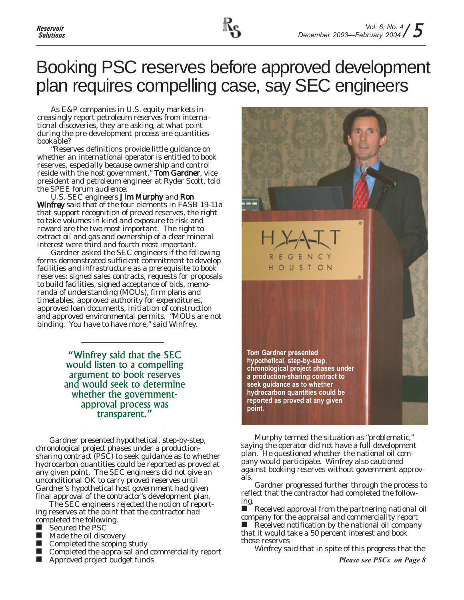

### Booking PSC reserves before approved development plan requires compelling case, say SEC engineers

As E&P companies in U.S. equity markets increasingly report petroleum reserves from international discoveries, they are asking, at what point during the pre-development process are quantities bookable?

"Reserves definitions provide little guidance on whether an international operator is entitled to book reserves, especially because ownership and control reside with the host government," Tom Gardner, vice president and petroleum engineer at Ryder Scott, told the SPEE forum audience.

U.S. SEC engineers Jim Murphy and Ron Winfrey said that of the four elements in FASB 19-11a that support recognition of proved reserves, the right to take volumes in kind and exposure to risk and reward are the two most important. The right to extract oil and gas and ownership of a clear mineral interest were third and fourth most important.

Gardner asked the SEC engineers if the following forms demonstrated sufficient commitment to develop facilities and infrastructure as a prerequisite to book reserves: signed sales contracts, requests for proposals to build facilities, signed acceptance of bids, memoranda of understanding (MOUs), firm plans and timetables, approved authority for expenditures, approved loan documents, initiation of construction and approved environmental permits. "MOUs are not binding. You have to have more," said Winfrey.

> "Winfrey said that the SEC would listen to a compelling argument to book reserves and would seek to determine whether the governmentapproval process was transparent."

Gardner presented hypothetical, step-by-step, chronological project phases under a productionsharing contract (PSC) to seek guidance as to whether hydrocarbon quantities could be reported as proved at any given point. The SEC engineers did not give an unconditional OK to carry proved reserves until Gardner's hypothetical host government had given final approval of the contractor's development plan.

The SEC engineers rejected the notion of reporting reserves at the point that the contractor had completed the following.

- Secured the PSC
- $\blacksquare$  Made the oil discovery<br> $\blacksquare$  Completed the scoping
- Completed the scoping study
- Completed the appraisal and commerciality report
- Approved project budget funds



Murphy termed the situation as "problematic," saying the operator did not have a full development plan. He questioned whether the national oil company would participate. Winfrey also cautioned against booking reserves without government approvals.

Gardner progressed further through the process to reflect that the contractor had completed the following.

 $\blacksquare$  Received approval from the partnering national oil company for the appraisal and commerciality report  $\blacksquare$  Received notification by the national oil company that it would take a 50 percent interest and book those reserves

Winfrey said that in spite of this progress that the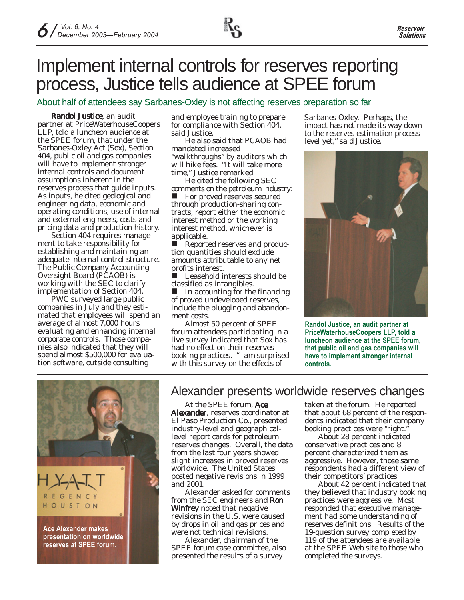

#### About half of attendees say Sarbanes-Oxley is not affecting reserves preparation so far

Randol Justice, an audit partner at PriceWaterhouseCoopers LLP, told a luncheon audience at the SPEE forum, that under the Sarbanes-Oxley Act (Sox), Section 404, public oil and gas companies will have to implement stronger internal controls and document assumptions inherent in the reserves process that guide inputs. As inputs, he cited geological and engineering data, economic and operating conditions, use of internal and external engineers, costs and pricing data and production history.

Section 404 requires management to take responsibility for establishing and maintaining an adequate internal control structure. The Public Company Accounting Oversight Board (PCAOB) is working with the SEC to clarify implementation of Section 404.

PWC surveyed large public companies in July and they estimated that employees will spend an average of almost 7,000 hours evaluating and enhancing internal corporate controls. Those companies also indicated that they will spend almost \$500,000 for evaluation software, outside consulting

and employee training to prepare for compliance with Section 404, said Justice.

He also said that PCAOB had mandated increased "walkthroughs" by auditors which will hike fees. "It will take more time," Justice remarked.

He cited the following SEC comments on the petroleum industry:

**For proved reserves secured** through production-sharing contracts, report either the economic interest method or the working interest method, whichever is applicable.

 Reported reserves and production quantities should exclude amounts attributable to any net profits interest.

 Leasehold interests should be classified as intangibles.

 $\blacksquare$  In accounting for the financing of proved undeveloped reserves, include the plugging and abandonment costs.

Almost 50 percent of SPEE forum attendees participating in a live survey indicated that Sox has had no effect on their reserves booking practices. "I am surprised with this survey on the effects of

Sarbanes-Oxley. Perhaps, the impact has not made its way down to the reserves estimation process level yet," said Justice.



**Randol Justice, an audit partner at PriceWaterhouseCoopers LLP, told a luncheon audience at the SPEE forum, that public oil and gas companies will have to implement stronger internal controls.**



### Alexander presents worldwide reserves changes

At the SPEE forum, Ace Alexander, reserves coordinator at El Paso Production Co., presented industry-level and geographicallevel report cards for petroleum reserves changes. Overall, the data from the last four years showed slight increases in proved reserves worldwide. The United States posted negative revisions in 1999 and 2001.

Alexander asked for comments from the SEC engineers and Ron Winfrey noted that negative revisions in the U.S. were caused by drops in oil and gas prices and were not technical revisions.

Alexander, chairman of the SPEE forum case committee, also presented the results of a survey

taken at the forum. He reported that about 68 percent of the respondents indicated that their company booking practices were "right."

About 28 percent indicated conservative practices and 8 percent characterized them as aggressive. However, those same respondents had a different view of their competitors' practices.

About 42 percent indicated that they believed that industry booking practices were aggressive. Most responded that executive management had some understanding of reserves definitions. Results of the 19-question survey completed by 119 of the attendees are available at the SPEE Web site to those who completed the surveys.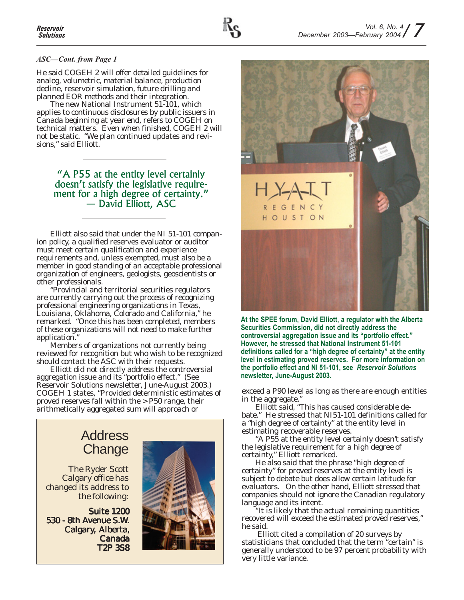#### *ASC—Cont. from Page 1*

He said COGEH 2 will offer detailed guidelines for analog, volumetric, material balance, production decline, reservoir simulation, future drilling and planned EOR methods and their integration.

The new National Instrument 51-101, which applies to continuous disclosures by public issuers in Canada beginning at year end, refers to COGEH on technical matters. Even when finished, COGEH 2 will not be static. "We plan continued updates and revisions," said Elliott.

"A P55 at the entity level certainly doesn't satisfy the legislative requirement for a high degree of certainty." — David Elliott, ASC

Elliott also said that under the NI 51-101 companion policy, a qualified reserves evaluator or auditor must meet certain qualification and experience requirements and, unless exempted, must also be a member in good standing of an acceptable professional organization of engineers, geologists, geoscientists or other professionals.

"Provincial and territorial securities regulators are currently carrying out the process of recognizing professional engineering organizations in Texas, Louisiana, Oklahoma, Colorado and California," he remarked. "Once this has been completed, members of these organizations will not need to make further application."

Members of organizations not currently being reviewed for recognition but who wish to be recognized should contact the ASC with their requests.

Elliott did not directly address the controversial aggregation issue and its "portfolio effect." (See *Reservoir Solutions* newsletter, June-August 2003.) COGEH 1 states, "Provided deterministic estimates of proved reserves fall within the > P50 range, their arithmetically aggregated sum will approach or

### Address **Change**

The Ryder Scott Calgary office has changed its address to the following:

Suite 1200 530 - 8th Avenue S.W. Calgary, Alberta, Canada T2P 3S8





**At the SPEE forum, David Elliott, a regulator with the Alberta Securities Commission, did not directly address the controversial aggregation issue and its "portfolio effect." However, he stressed that National Instrument 51-101 definitions called for a "high degree of certainty" at the entity level in estimating proved reserves. For more information on the portfolio effect and NI 51-101, see** *Reservoir Solutions* **newsletter, June-August 2003.**

exceed a P90 level as long as there are enough entities in the aggregate."

Elliott said, "This has caused considerable debate." He stressed that NI51-101 definitions called for a "high degree of certainty" at the entity level in estimating recoverable reserves.

"A P55 at the entity level certainly doesn't satisfy the legislative requirement for a high degree of certainty," Elliott remarked.

He also said that the phrase "high degree of certainty" for proved reserves at the entity level is subject to debate but does allow certain latitude for evaluators. On the other hand, Elliott stressed that companies should not ignore the Canadian regulatory language and its intent.

"It is likely that the actual remaining quantities recovered will exceed the estimated proved reserves," he said.

 Elliott cited a compilation of 20 surveys by statisticians that concluded that the term "certain" is generally understood to be 97 percent probability with very little variance.